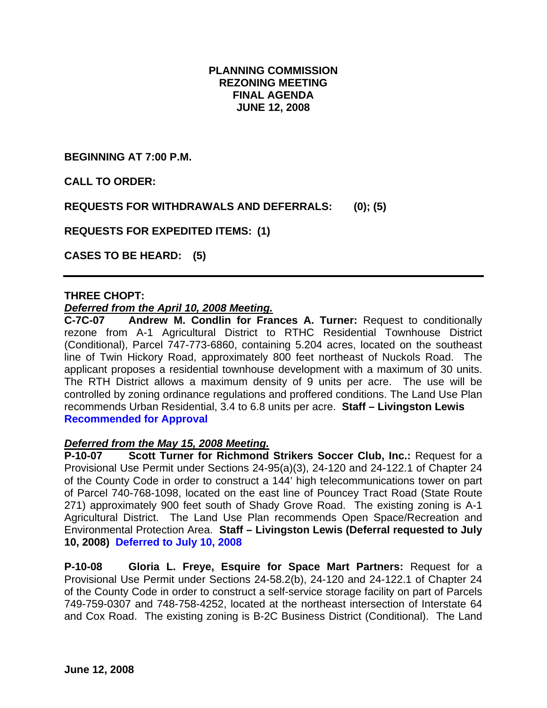## **PLANNING COMMISSION REZONING MEETING FINAL AGENDA JUNE 12, 2008**

**BEGINNING AT 7:00 P.M.** 

**CALL TO ORDER:** 

**REQUESTS FOR WITHDRAWALS AND DEFERRALS: (0); (5)** 

**REQUESTS FOR EXPEDITED ITEMS: (1)** 

**CASES TO BE HEARD: (5)** 

## **THREE CHOPT:**

#### *Deferred from the April 10, 2008 Meeting.*

**C-7C-07 Andrew M. Condlin for Frances A. Turner:** Request to conditionally rezone from A-1 Agricultural District to RTHC Residential Townhouse District (Conditional), Parcel 747-773-6860, containing 5.204 acres, located on the southeast line of Twin Hickory Road, approximately 800 feet northeast of Nuckols Road. The applicant proposes a residential townhouse development with a maximum of 30 units. The RTH District allows a maximum density of 9 units per acre. The use will be controlled by zoning ordinance regulations and proffered conditions. The Land Use Plan recommends Urban Residential, 3.4 to 6.8 units per acre. **Staff – Livingston Lewis Recommended for Approval** 

#### *Deferred from the May 15, 2008 Meeting.*

**P-10-07 Scott Turner for Richmond Strikers Soccer Club, Inc.:** Request for a Provisional Use Permit under Sections 24-95(a)(3), 24-120 and 24-122.1 of Chapter 24 of the County Code in order to construct a 144' high telecommunications tower on part of Parcel 740-768-1098, located on the east line of Pouncey Tract Road (State Route 271) approximately 900 feet south of Shady Grove Road. The existing zoning is A-1 Agricultural District. The Land Use Plan recommends Open Space/Recreation and Environmental Protection Area. **Staff – Livingston Lewis (Deferral requested to July 10, 2008) Deferred to July 10, 2008** 

**P-10-08 Gloria L. Freye, Esquire for Space Mart Partners:** Request for a Provisional Use Permit under Sections 24-58.2(b), 24-120 and 24-122.1 of Chapter 24 of the County Code in order to construct a self-service storage facility on part of Parcels 749-759-0307 and 748-758-4252, located at the northeast intersection of Interstate 64 and Cox Road. The existing zoning is B-2C Business District (Conditional). The Land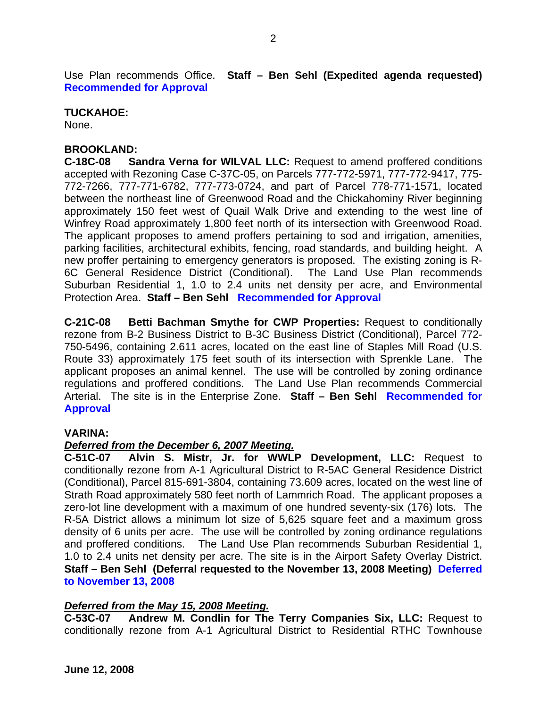Use Plan recommends Office. **Staff – Ben Sehl (Expedited agenda requested) Recommended for Approval** 

## **TUCKAHOE:**

None.

## **BROOKLAND:**

**C-18C-08 Sandra Verna for WILVAL LLC:** Request to amend proffered conditions accepted with Rezoning Case C-37C-05, on Parcels 777-772-5971, 777-772-9417, 775- 772-7266, 777-771-6782, 777-773-0724, and part of Parcel 778-771-1571, located between the northeast line of Greenwood Road and the Chickahominy River beginning approximately 150 feet west of Quail Walk Drive and extending to the west line of Winfrey Road approximately 1,800 feet north of its intersection with Greenwood Road. The applicant proposes to amend proffers pertaining to sod and irrigation, amenities, parking facilities, architectural exhibits, fencing, road standards, and building height. A new proffer pertaining to emergency generators is proposed. The existing zoning is R-6C General Residence District (Conditional). The Land Use Plan recommends Suburban Residential 1, 1.0 to 2.4 units net density per acre, and Environmental Protection Area. **Staff – Ben Sehl Recommended for Approval** 

**C-21C-08 Betti Bachman Smythe for CWP Properties:** Request to conditionally rezone from B-2 Business District to B-3C Business District (Conditional), Parcel 772- 750-5496, containing 2.611 acres, located on the east line of Staples Mill Road (U.S. Route 33) approximately 175 feet south of its intersection with Sprenkle Lane. The applicant proposes an animal kennel. The use will be controlled by zoning ordinance regulations and proffered conditions. The Land Use Plan recommends Commercial Arterial. The site is in the Enterprise Zone. **Staff – Ben Sehl Recommended for Approval** 

#### **VARINA:**

#### *Deferred from the December 6, 2007 Meeting.*

**C-51C-07 Alvin S. Mistr, Jr. for WWLP Development, LLC:** Request to conditionally rezone from A-1 Agricultural District to R-5AC General Residence District (Conditional), Parcel 815-691-3804, containing 73.609 acres, located on the west line of Strath Road approximately 580 feet north of Lammrich Road. The applicant proposes a zero-lot line development with a maximum of one hundred seventy-six (176) lots. The R-5A District allows a minimum lot size of 5,625 square feet and a maximum gross density of 6 units per acre. The use will be controlled by zoning ordinance regulations and proffered conditions. The Land Use Plan recommends Suburban Residential 1, 1.0 to 2.4 units net density per acre. The site is in the Airport Safety Overlay District. **Staff – Ben Sehl (Deferral requested to the November 13, 2008 Meeting) Deferred to November 13, 2008** 

#### *Deferred from the May 15, 2008 Meeting.*

**C-53C-07 Andrew M. Condlin for The Terry Companies Six, LLC:** Request to conditionally rezone from A-1 Agricultural District to Residential RTHC Townhouse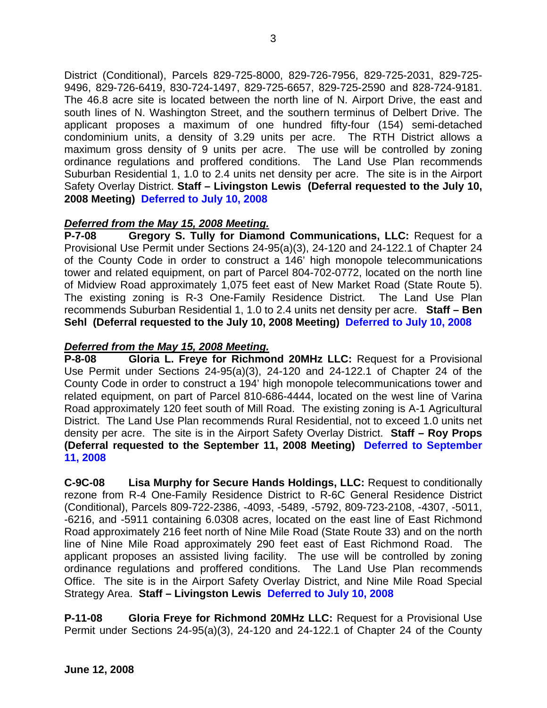District (Conditional), Parcels 829-725-8000, 829-726-7956, 829-725-2031, 829-725- 9496, 829-726-6419, 830-724-1497, 829-725-6657, 829-725-2590 and 828-724-9181. The 46.8 acre site is located between the north line of N. Airport Drive, the east and south lines of N. Washington Street, and the southern terminus of Delbert Drive. The applicant proposes a maximum of one hundred fifty-four (154) semi-detached condominium units, a density of 3.29 units per acre. The RTH District allows a maximum gross density of 9 units per acre. The use will be controlled by zoning ordinance regulations and proffered conditions. The Land Use Plan recommends Suburban Residential 1, 1.0 to 2.4 units net density per acre. The site is in the Airport Safety Overlay District. **Staff – Livingston Lewis (Deferral requested to the July 10, 2008 Meeting) Deferred to July 10, 2008** 

# *Deferred from the May 15, 2008 Meeting.*

**P-7-08 Gregory S. Tully for Diamond Communications, LLC:** Request for a Provisional Use Permit under Sections 24-95(a)(3), 24-120 and 24-122.1 of Chapter 24 of the County Code in order to construct a 146' high monopole telecommunications tower and related equipment, on part of Parcel 804-702-0772, located on the north line of Midview Road approximately 1,075 feet east of New Market Road (State Route 5). The existing zoning is R-3 One-Family Residence District. The Land Use Plan recommends Suburban Residential 1, 1.0 to 2.4 units net density per acre. **Staff – Ben Sehl (Deferral requested to the July 10, 2008 Meeting) Deferred to July 10, 2008** 

# *Deferred from the May 15, 2008 Meeting.*

**P-8-08 Gloria L. Freye for Richmond 20MHz LLC:** Request for a Provisional Use Permit under Sections 24-95(a)(3), 24-120 and 24-122.1 of Chapter 24 of the County Code in order to construct a 194' high monopole telecommunications tower and related equipment, on part of Parcel 810-686-4444, located on the west line of Varina Road approximately 120 feet south of Mill Road. The existing zoning is A-1 Agricultural District. The Land Use Plan recommends Rural Residential, not to exceed 1.0 units net density per acre. The site is in the Airport Safety Overlay District. **Staff – Roy Props (Deferral requested to the September 11, 2008 Meeting) Deferred to September 11, 2008** 

**C-9C-08 Lisa Murphy for Secure Hands Holdings, LLC:** Request to conditionally rezone from R-4 One-Family Residence District to R-6C General Residence District (Conditional), Parcels 809-722-2386, -4093, -5489, -5792, 809-723-2108, -4307, -5011, -6216, and -5911 containing 6.0308 acres, located on the east line of East Richmond Road approximately 216 feet north of Nine Mile Road (State Route 33) and on the north line of Nine Mile Road approximately 290 feet east of East Richmond Road. The applicant proposes an assisted living facility. The use will be controlled by zoning ordinance regulations and proffered conditions. The Land Use Plan recommends Office. The site is in the Airport Safety Overlay District, and Nine Mile Road Special Strategy Area. **Staff – Livingston Lewis Deferred to July 10, 2008**

**P-11-08 Gloria Freye for Richmond 20MHz LLC:** Request for a Provisional Use Permit under Sections 24-95(a)(3), 24-120 and 24-122.1 of Chapter 24 of the County